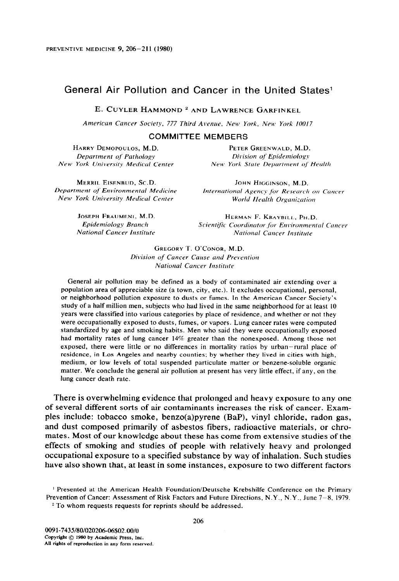# General Air Pollution and Cancer in the United States<sup>1</sup>

E. CUYLER HAMMOND<sup>2</sup> AND LAWRENCE GARFINKEL

American Cancer Society, 777 Third Avenue, New York, New York 10017

**COMMITTEE MEMBERS** 

HARRY DEMOPOULOS, M.D. Department of Pathology New York University Medical Center

PETER GREENWALD, M.D. Division of Epidemiology New York State Department of Health

MERRIL EISENBUD, SC.D. Department of Environmental Medicine New York University Medical Center

JOHN HIGGINSON, M.D. International Agency for Research on Cancer World Health Organization

JOSEPH FRAUMENI, M.D. Epidemiology Branch **National Cancer Institute** 

HERMAN F. KRAYBILL, PH.D. Scientific Coordinator for Environmental Cancer **National Cancer Institute** 

GREGORY T. O'CONOR, M.D. Division of Cancer Cause and Prevention **National Cancer Institute** 

General air pollution may be defined as a body of contaminated air extending over a population area of appreciable size (a town, city, etc.). It excludes occupational, personal, or neighborhood pollution exposure to dusts or fumes. In the American Cancer Society's study of a half million men, subjects who had lived in the same neighborhood for at least 10 years were classified into various categories by place of residence, and whether or not they were occupationally exposed to dusts, fumes, or vapors. Lung cancer rates were computed standardized by age and smoking habits. Men who said they were occupationally exposed had mortality rates of lung cancer 14% greater than the nonexposed. Among those not exposed, there were little or no differences in mortality ratios by urban-rural place of residence, in Los Angeles and nearby counties; by whether they lived in cities with high, medium, or low levels of total suspended particulate matter or benzene-soluble organic matter. We conclude the general air pollution at present has very little effect, if any, on the lung cancer death rate.

There is overwhelming evidence that prolonged and heavy exposure to any one of several different sorts of air contaminants increases the risk of cancer. Examples include: tobacco smoke, benzo(a)pyrene (BaP), vinyl chloride, radon gas, and dust composed primarily of asbestos fibers, radioactive materials, or chromates. Most of our knowledge about these has come from extensive studies of the effects of smoking and studies of people with relatively heavy and prolonged occupational exposure to a specified substance by way of inhalation. Such studies have also shown that, at least in some instances, exposure to two different factors

<sup>&</sup>lt;sup>1</sup> Presented at the American Health Foundation/Deutsche Krebshilfe Conference on the Primary Prevention of Cancer: Assessment of Risk Factors and Future Directions, N.Y., N.Y., June 7-8, 1979. <sup>2</sup> To whom requests requests for reprints should be addressed.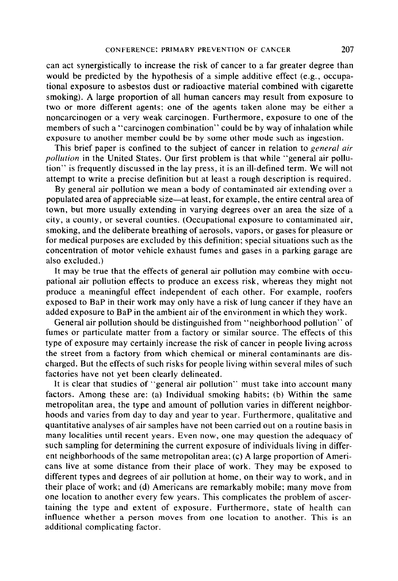can act synergistically to increase the risk of cancer to a far greater degree than would be predicted by the hypothesis of a simple additive effect (e.g., occupational exposure to asbestos dust or radioactive material combined with cigarette smoking). A large proportion of all human cancers may result from exposure to two or more different agents; one of the agents taken alone may be either a noncarcinogen or a very weak carcinogen. Furthermore, exposure to one of the members of such a "carcinogen combination" could be by way of inhalation while exposure to another member could be by some other mode such as ingestion.

This brief paper is confined to the subject of cancer in relation to *general air* pollution in the United States. Our first problem is that while "general air pollution" is frequently discussed in the lay press, it is an ill-defined term. We will not attempt to write a precise definition but at least a rough description is required.

By general air pollution we mean a body of contaminated air extending over a populated area of appreciable size-at least, for example, the entire central area of town, but more usually extending in varying degrees over an area the size of a city, a county, or several counties. (Occupational exposure to contaminated air, smoking, and the deliberate breathing of aerosols, vapors, or gases for pleasure or for medical purposes are excluded by this definition; special situations such as the concentration of motor vehicle exhaust fumes and gases in a parking garage are also excluded.)

It may be true that the effects of general air pollution may combine with occupational air pollution effects to produce an excess risk, whereas they might not produce a meaningful effect independent of each other. For example, roofers exposed to BaP in their work may only have a risk of lung cancer if they have an added exposure to BaP in the ambient air of the environment in which they work.

General air pollution should be distinguished from "neighborhood pollution" of fumes or particulate matter from a factory or similar source. The effects of this type of exposure may certainly increase the risk of cancer in people living across the street from a factory from which chemical or mineral contaminants are discharged. But the effects of such risks for people living within several miles of such factories have not yet been clearly delineated.

It is clear that studies of "general air pollution" must take into account many factors. Among these are: (a) Individual smoking habits; (b) Within the same metropolitan area, the type and amount of pollution varies in different neighborhoods and varies from day to day and year to year. Furthermore, qualitative and quantitative analyses of air samples have not been carried out on a routine basis in many localities until recent years. Even now, one may question the adequacy of such sampling for determining the current exposure of individuals living in different neighborhoods of the same metropolitan area; (c) A large proportion of Americans live at some distance from their place of work. They may be exposed to different types and degrees of air pollution at home, on their way to work, and in their place of work; and (d) Americans are remarkably mobile; many move from one location to another every few years. This complicates the problem of ascertaining the type and extent of exposure. Furthermore, state of health can influence whether a person moves from one location to another. This is an additional complicating factor.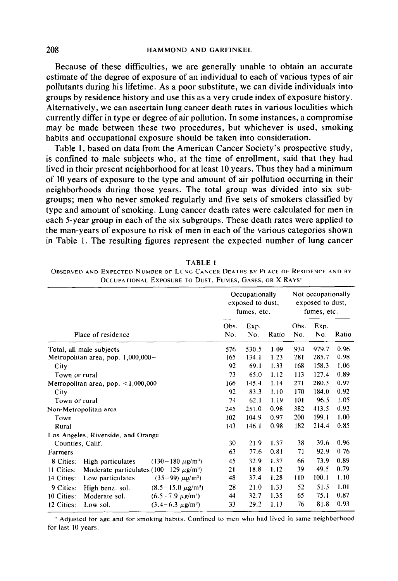#### 208 HAMMOND AND GARFINKEL

Because of these difficulties, we are generally unable to obtain an accurate estimate of the degree of exposure of an individual to each of various types of air pollutants during his lifetime. As a poor substitute, we can divide individuals into groups by residence history and use this as a very crude index of exposure history. Alternatively, we can ascertain lung cancer death rates in various localities which currently differ in type or degree of air pollution. In some instances, a compromise may be made between these two procedures, but whichever is used, smoking habits and occupational exposure should be taken into consideration.

Table 1, based on data from the American Cancer Society's prospective study, is confined to male subjects who, at the time of enrollment, said that they had lived in their present neighborhood for at least 10 years. Thus they had a minimum of 10 years of exposure to the type and amount of air pollution occurring in their neighborhoods during those years. The total group was divided into six subgroups; men who never smoked regularly and five sets of smokers classified by type and amount of smoking. Lung cancer death rates were calculated for men in each 5-year group in each of the six subgroups. These death rates were applied to the man-years of exposure to risk of men in each of the various categories shown in Table 1. The resulting figures represent the expected number of lung cancer

|                                                                         |     | Occupationally<br>exposed to dust,<br>fumes, etc. |       |      | Not occupationally<br>exposed to dust,<br>fumes, etc. |       |  |
|-------------------------------------------------------------------------|-----|---------------------------------------------------|-------|------|-------------------------------------------------------|-------|--|
|                                                                         |     | Exp.                                              |       | Obs. | Exp.                                                  |       |  |
| Place of residence                                                      | No. | No.                                               | Ratio | No.  | No.                                                   | Ratio |  |
| Total, all male subjects                                                | 576 | 530.5                                             | 1.09  | 934  | 979.7                                                 | 0.96  |  |
| Metropolitan area, pop. $1,000,000+$                                    | 165 | 134.1                                             | 1.23  | 281  | 285.7                                                 | 0.98  |  |
| City                                                                    | 92  | 69.1                                              | 1.33  | 168  | 158.3                                                 | 1.06  |  |
| Town or rural                                                           | 73  | 65.0                                              | 1.12  | 113  | 127.4                                                 | 0.89  |  |
| Metropolitan area, pop. $\lt 1,000,000$                                 | 166 | 145.4                                             | 1.14  | 271  | 280.5                                                 | 0.97  |  |
| City                                                                    | 92  | 83.3                                              | 1.10  | 170  | 184.0                                                 | 0.92  |  |
| Town or rural                                                           | 74  | 62.1                                              | 1.19  | 101  | 96.5                                                  | 1.05  |  |
| Non-Metropolitan area                                                   | 245 | 251.0                                             | 0.98  | 382  | 413.5                                                 | 0.92  |  |
| Town                                                                    | 102 | 104.9                                             | 0.97  | 200  | 199.1                                                 | 1.00  |  |
| Rural                                                                   | 143 | 146.1                                             | 0.98  | 182  | 214.4                                                 | 0.85  |  |
| Los Angeles, Riverside, and Orange                                      |     |                                                   |       |      |                                                       |       |  |
| Counties, Calif.                                                        | 30  | 21.9                                              | 1.37  | 38   | 39.6                                                  | 0.96  |  |
| Farmers                                                                 | 63  | 77.6                                              | 0.81  | 71   | 92.9                                                  | 0.76  |  |
| 8 Cities:<br>$(130 - 180 \ \mu g/m^3)$<br>High particulates             | 45  | 32.9                                              | 1.37  | 66   | 73.9                                                  | 0.89  |  |
| 11 Cities:<br>Moderate particulates (100 – 129 $\mu$ g/m <sup>3</sup> ) | 21  | 18.8                                              | 1.12  | 39   | 49.5                                                  | 0.79  |  |
| $(35-99) \mu g/m^3$<br>14 Cities:<br>Low particulates                   | 48  | 37.4                                              | 1.28  | 110  | 100.1                                                 | 1.10  |  |
| $(8.5 - 15.0 \ \mu g/m^3)$<br>9 Cities:<br>High benz. sol.              | 28  | 21.0                                              | 1.33  | 52   | 51.5                                                  | 1.01  |  |
| $(6.5 - 7.9 \mu g/m^3)$<br>10 Cities:<br>Moderate sol.                  | 44  | 32.7                                              | 1.35  | 65   | 75.1                                                  | 0.87  |  |
| $(3.4 - 6.3 \mu g/m^3)$<br>12 Cities:<br>Low sol.                       | 33  | 29.2                                              | 1.13  | 76   | 81.8                                                  | 0.93  |  |

TABLE 1

OBSERVED AND EXPECTED NUMBER OF LUNG CANCER DEATHS BY PLACE OF RESIDENCE AND BY OCCUPATIONAL EXPOSURE TO DUST-FUMES, GASES, OR X RAVS"

" Adjusted for age and for smoking habits. Confined to men who had lived in same neighborhood for last 10 years.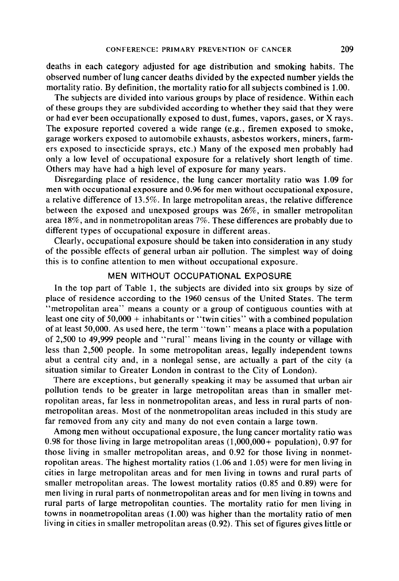deaths in each category adjusted for age distribution and smoking habits. The observed number of lung cancer deaths divided by the expected number yields the mortality ratio. By definition, the mortality ratio for all subjects combined is 1.00.

The subjects are divided into various groups by place of residence. Within each of these groups they are subdivided according to whether they said that they were or had ever been occupationally exposed to dust, fumes, vapors, gases, or X rays. The exposure reported covered a wide range (e.g., firemen exposed to smoke, garage workers exposed to automobile exhausts, asbestos workers, miners, farmers exposed to insecticide sprays, etc.) Many of the exposed men probably had only a low level of occupational exposure for a relatively short length of time. Others may have had a high level of exposure for many years.

Disregarding place of residence, the lung cancer mortality ratio was 1.09 for men with occupational exposure and 0.96 for men without occupational exposure, a relative difference of 13.5%. In large metropolitan areas, the relative difference between the exposed and unexposed groups was 26%, in smaller metropolitan area 18%, and in nonmetropolitan areas 7%. These differences are probably due to different types of occupational exposure in different areas.

Clearly, occupational exposure should be taken into consideration in any study of the possible effects of general urban air pollution. The simplest way of doing this is to confine attention to men without occupational exposure.

## MEN WITHOUT OCCUPATIONAL EXPOSURE

In the top part of Table 1, the subjects are divided into six groups by size of place of residence according to the 1960 census of the United States. The term "metropolitan area" means a county or a group of contiguous counties with at least one city of 50,000 + inhabitants or "twin cities" with a combined population of at least 50,000. As used here, the term "town" means a place with a population of 2,500 to 49,999 people and "rural" means living in the county or village with less than 2,500 people. In some metropolitan areas, legally independent towns abut a central city and, in a nonlegal sense, are actually a part of the city (a situation similar to Greater London in contrast to the City of London).

There are exceptions, but generally speaking it may be assumed that urban air pollution tends to be greater in large metropolitan areas than in smaller metropolitan areas, far less in nonmetropolitan areas, and less in rural parts of nonmetropolitan areas. Most of the nonmetropolitan areas included in this study are far removed from any city and many do not even contain a large town.

Among men without occupational exposure, the lung cancer mortality ratio was 0.98 for those living in large metropolitan areas (1,000,000+ population), 0.97 for those living in smaller metropolitan areas, and 0.92 for those living in nonmetropolitan areas. The highest mortality ratios (1.06 and 1.05) were for men living in cities in large metropolitan areas and for men living in towns and rural parts of smaller metropolitan areas. The lowest mortality ratios (0.85 and 0.89) were for men living in rural parts of nonmetropolitan areas and for men living in towns and rural parts of large metropolitan counties. The mortality ratio for men living in towns in nonmetropolitan areas (1.00) was higher than the mortality ratio of men living in cities in smaller metropolitan areas (0.92). This set of figures gives little or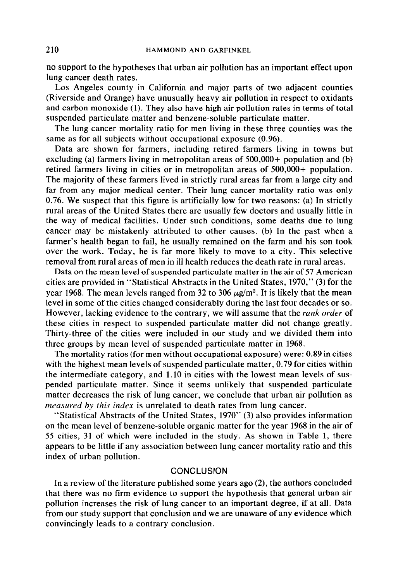no support to the hypotheses that urban air pollution has an important effect upon lung cancer death rates.

Los Angeles county in California and major parts of two adjacent counties (Riverside and Orange) have unusually heavy air pollution in respect to oxidants and carbon monoxide (1). They also have high air pollution rates in terms of total suspended particulate matter and benzene-soluble particulate matter.

The lung cancer mortality ratio for men living in these three counties was the same as for all subjects without occupational exposure (0.96).

Data are shown for farmers, including retired farmers living in towns but excluding (a) farmers living in metropolitan areas of 500,000+ population and (b) retired farmers living in cities or in metropolitan areas of 500,000+ population. The majority of these farmers lived in strictly rural areas far from a large city and far from any major medical center. Their lung cancer mortality ratio was only 0.76. We suspect that this figure is artificially low for two reasons: (a) In strictly rural areas of the United States there are usually few doctors and usually little in the way of medical facilities. Under such conditions, some deaths due to lung cancer may be mistakenly attributed to other causes. (b) In the past when a farmer's health began to fail, he usually remained on the farm and his son took over the work. Today, he is far more likely to move to a city. This selective removal from rural areas of men in ill health reduces the death rate in rural areas.

Data on the mean level of suspended particulate matter in the air of 57 American cities are provided in "Statistical Abstracts in the United States, 1970," (3) for the year 1968. The mean levels ranged from 32 to 306  $\mu$ g/m<sup>3</sup>. It is likely that the mean level in some of the cities changed considerably during the last four decades or so. However, lacking evidence to the contrary, we will assume that the *rank order* of these cities in respect to suspended particulate matter did not change greatly. Thirty-three of the cities were included in our study and we divided them into three groups by mean level of suspended particulate matter in 1968.

The mortality ratios (for men without occupational exposure) were: 0.89 in cities with the highest mean levels of suspended particulate matter, 0.79 for cities within the intermediate category, and 1.10 in cities with the lowest mean levels of suspended particulate matter. Since it seems unlikely that suspended particulate matter decreases the risk of lung cancer, we conclude that urban air pollution as measured by this index is unrelated to death rates from lung cancer.

"Statistical Abstracts of the United States, 1970" (3) also provides information on the mean level of benzene-soluble organic matter for the year 1968 in the air of 55 cities, 31 of which were included in the study. As shown in Table 1, there appears to be little if any association between lung cancer mortality ratio and this index of urban pollution.

## **CONCLUSION**

In a review of the literature published some years ago (2), the authors concluded that there was no firm evidence to support the hypothesis that general urban air pollution increases the risk of lung cancer to an important degree, if at all. Data from our study support that conclusion and we are unaware of any evidence which convincingly leads to a contrary conclusion.